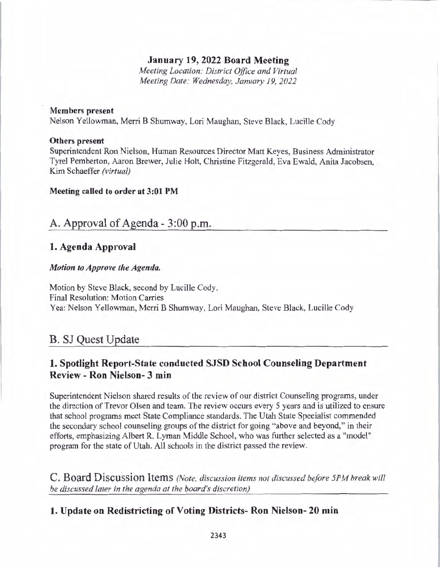### **January 19, 2022 Board Meeting**

*Meeting Location: District Office and Virtual Meeting Date: Wednesday, January 19, 2022* 

#### **Members present**

Nelson Yellowman, Merri B Shumway, Lori Maughan, Steve Black, Lucille Cody

#### **Others present**

Superintendent Ron Nielson, Human Resources Director Matt Keyes, Business Administrator Tyrel Pemberton, Aaron Brewer, Julie Holt, Christine Fitzgerald, Eva Ewald, Anita Jacobsen, Kim Schaeffer *(virtual)* 

#### **Meeting called to order at 3:01 PM**

# A. Approval of Agenda - 3 :00 p.m.

#### **1. Agenda Approval**

#### *Motion to Approve the Agenda.*

Motion by Steve Black, second by Lucille Cody. Final Resolution: Motion Carries Yea: Nelson Yellowman, Merri B Shumway, Lori Maughan, Steve Black, Lucille Cody

# B. SJ Quest Update

# **1. Spotlight Report-State conducted SJSD School Counseling Department Review** - **Ron Nielson- 3 min**

Superintendent Nielson shared results of the review of our district Counseling programs, under the direction of Trevor Olsen and team. The review occurs every 5 years and is utilized to ensure that school programs meet State Compliance standards. The Utah State Specialist commended the secondary school counseling groups of the district for going "above and beyond," in their efforts, emphasizing Albert R. Lyman Middle School, who was further selected as a "model" program for the state of Utah. All schools in the district passed the review.

**C. Board Discussion Items** *(Note, discussion items not discussed before 5PM break will be discussed later in the agenda at the board's discretion)* 

### **1. Update on Redistricting of Voting Districts- Ron Nielson- 20 min**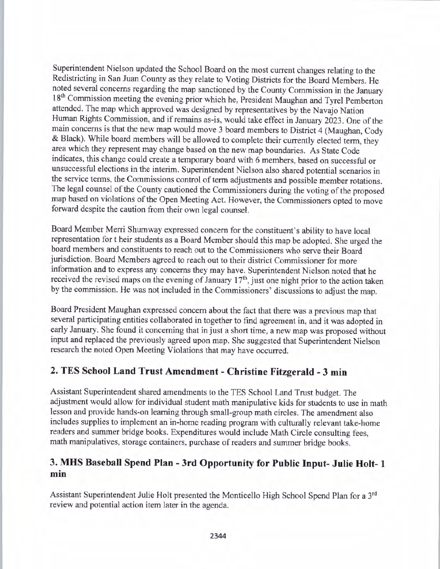Superintendent Nielson updated the School Board on the most current changes relating to the Redistricting in San Juan County as they relate to Voting Districts for the Board Members. He noted several concerns regarding the map sanctioned by the County Commission in the January 18<sup>th</sup> Commission meeting the evening prior which he, President Maughan and Tyrel Pemberton attended. The map which approved was designed by representatives by the Navajo Nation Human Rights Commission, and if remains as-is, would take effect in January 2023. One of the main concerns is that the new map would move 3 board members to District 4 (Maughan, Cody & Black). While board members will be allowed to complete their currently elected term, they area which they represent may change based on the new map boundaries. As State Code indicates, this change could create a temporary board with 6 members, based on successful or unsuccessful elections in the interim. Superintendent Nielson also shared potential scenarios in the service terms, the Commissions control of term adjustments and possible member rotations. The legal counsel of the County cautioned the Commissioners during the voting of the proposed map based on violations of the Open Meeting Act. However, the Commissioners opted to move forward despite the caution from their own legal counsel.

Board Member Merri Shumway expressed concern for the constituent's ability to have local representation fort heir students as a Board Member should this map be adopted. She urged the board members and constituents to reach out to the Commissioners who serve their Board jurisdiction. Board Members agreed to reach out to their district Commissioner for more information and to express any concerns they may have. Superintendent Nielson noted that he received the revised maps on the evening of January  $17<sup>th</sup>$ , just one night prior to the action taken by the commission. He was not included in the Commissioners' discussions to adjust the map.

Board President Maughan expressed concern about the fact that there was a previous map that several participating entities collaborated in together to find agreement in, and it was adopted in early January. She found it concerning that in just a short time, a new map was proposed without input and replaced the previously agreed upon map. She suggested that Superintendent Nielson research the noted Open Meeting Violations that may have occurred.

# **2. TES School Land Trust Amendment - Christine Fitzgerald - 3 min**

Assistant Superintendent shared amendments to the TES School Land Trust budget. The adjustment would allow for individual student math manipulative kids for students to use in math lesson and provide hands-on learning through small-group math circles. The amendment also includes supplies to implement an in-home reading program with culturally relevant take-home readers and summer bridge books. Expenditures would include Math Circle consulting fees, math manipulatives, storage containers, purchase of readers and summer bridge books.

# **3. MHS Baseball Spend Plan - 3rd Opportunity for Public Input- Julie Holt- 1 min**

Assistant Superintendent Julie Holt presented the Monticello High School Spend Plan for a 3rd review and potential action item later in the agenda.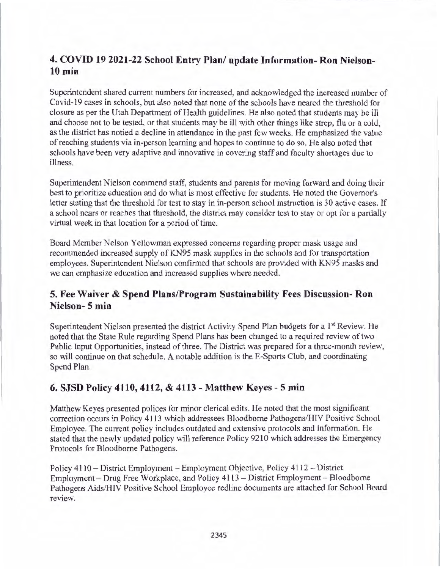# **4. COVID 19 2021-22 School Entry Plan/ update Information- Ron Nielson-10 min**

Superintendent shared current numbers for increased, and acknowledged the increased number of Covid-19 cases in schools, but also noted that none of the schools have neared the threshold for closure as per the Utah Department of Health guidelines. He also noted that students may be ill and choose not to be tested, or that students may be il1 with other things like strep, flu or a cold, as the district has notied a decline in attendance in the past few weeks. He emphasized the value of reaching students via in-person learning and hopes to continue to do so. He also noted that schools have been very adaptive and innovative in covering staff and faculty shortages due to illness.

Superintendent Nielson commend staff, students and parents for moving forward and doing their best to prioritize education and do what is most effective for students. He noted the Governor's letter stating that the threshold for test to stay in in-person school instruction is 30 active cases. If a school nears or reaches that threshold, the district may consider test to stay or opt for a partially virtual week in that location for a period of time.

Board Member Nelson Y ellowman expressed concerns regarding proper mask usage and recommended increased supply of KN95 mask supplies in the schools and for transportation employees. Superintendent Nielson confirmed that schools are provided with KN95 masks and we can emphasize education and increased supplies where needed.

# **5. Fee Waiver & Spend Plans/Program Sustainability Fees Discussion- Ron Nielson- 5 min**

Superintendent Nielson presented the district Activity Spend Plan budgets for a 1<sup>st</sup> Review. He noted that the State Rule regarding Spend Plans has been changed to a required review of two Public Input Opportunities, instead of three. The District was prepared for a three-month review, so will continue on that schedule. A notable addition is the E-Sports Club, and coordinating Spend Plan.

# **6. SJSD Policy 4110, 4112, & 4113 - Matthew Keyes - 5 min**

Matthew Keyes presented polices for minor clerical edits. He noted that the most significant correction occurs in Policy 4113 which addressees Bloodbome Pathogens/HIV Positive School Employee. The current policy includes outdated and extensive protocols and information. He stated that the newly updated policy will reference Policy 9210 which addresses the Emergency Protocols for Bloodbome Pathogens.

Policy 4110 - District Employment - Employment Objective, Policy 4112 - District Employment - Drug Free Workplace, and Policy 411 3 - District Employment- Bloodbome Pathogens Aids/HIV Positive School Employee redline documents are attached for School Board review.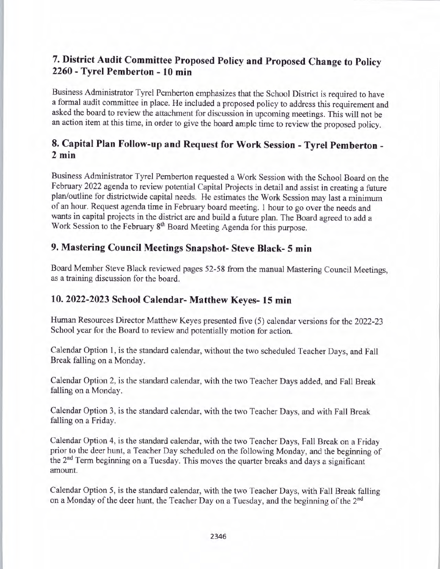# **7. District Audit Committee Proposed Policy and Proposed Change to Policy 2260 - Tyrel Pemberton - 10 min**

Business Administrator Tyrel Pemberton emphasizes that the School District is required to have a formal audit committee in place. He included a proposed policy to address this requirement and asked the board to review the attachment for discussion in upcoming meetings. This will not be an action item at this time, in order to give the board ample time to review the proposed policy.

# **8. Capital Plan Follow-up and Request for Work Session - Tyrel Pemberton** - **2 min**

Business Administrator Tyre! Pemberton requested a Work Session with the School Board on the February 2022 agenda to review potential Capital Projects in detail and assist in creating a future plan/outline for districtwide capital needs. He estimates the Work Session may last a minimum of an hour. Request agenda time in February board meeting. I hour to go over the needs and wants in capital projects in the district are and build a future plan. The Board agreed to add a Work Session to the February 8<sup>th</sup> Board Meeting Agenda for this purpose.

# **9. Mastering Council Meetings Snapshot- Steve Black- 5 min**

Board Member Steve Black reviewed pages 52-58 from the manual Mastering Council Meetings, as a training discussion for the board.

### **10. 2022-2023 School Calendar- Matthew Keyes- 15 min**

Human Resources Director Matthew Keyes presented five (5) calendar versions for the 2022-23 School year for the Board to review and potentially motion for action.

Calendar Option 1, is the standard calendar, without the two scheduled Teacher Days, and Fall Break falling on a Monday.

Calendar Option 2, is the standard calendar, with the two Teacher Days added, and Fall Break falling on a Monday.

Calendar Option 3, is the standard calendar, with the two Teacher Days, and with Fall Break falling on a Friday.

Calendar Option 4, is the standard calendar, with the two Teacher Days, Fall Break on a Friday prior to the deer hunt, a Teacher Day scheduled on the following Monday, and the beginning of the 2<sup>nd</sup> Term beginning on a Tuesday. This moves the quarter breaks and days a significant amount.

Calendar Option 5, is the standard calendar, with the two Teacher Days, with Fall Break falling on a Monday of the deer hunt, the Teacher Day on a Tuesday, and the beginning of the 2<sup>nd</sup>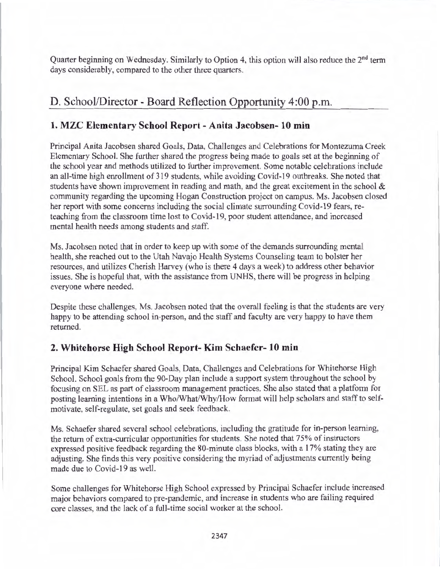Quarter beginning on Wednesday. Similarly to Option 4, this option will also reduce the 2<sup>nd</sup> term days considerably, compared to the other three quarters.

# D. School/Director - Board Reflection Opportunity 4:00 p.m.

### **1. MZC Elementary School Report - Anita Jacobsen- 10 min**

Principal Anita Jacobsen shared Goals, Data, Challenges and Celebrations for Montezuma Creek Elementary School. She further shared the progress being made to goals set at the beginning of the school year and methods utilized to further improvement. Some notable celebrations include an all-time high enrollment of 319 students, while avoiding Covid-19 outbreaks. She noted that students have shown improvement in reading and math, and the great excitement in the school  $\&$ community regarding the upcoming Hogan Construction project on campus. Ms. Jacobsen closed her report with some concerns including the social climate surrounding Covid-19 fears, reteaching from the classroom time lost to Covid-19, poor student attendance, and increased mental health needs among students and staff.

Ms. Jacobsen noted that in order to keep up with some of the demands surrounding mental health, she reached out to the Utah Navajo Health Systems Counseling team to bolster her resources, and utilizes Cherish Harvey (who is there 4 days a week) to address other behavior issues. She is hopeful that, with the assistance from UNHS, there will be progress in helping everyone where needed.

Despite these challenges, Ms. Jacobsen noted that the overall feeling is that the students are very happy to be attending school in-person, and the staff and faculty are very happy to have them returned.

### **2. Whitehorse High School Report- Kim Schaefer- 10 min**

Principal Kim Schaefer shared Goals, Data, Challenges and Celebrations for Whitehorse High School. School goals from the 90-Day plan include a support system throughout the school by focusing on SEL as part of classroom management practices. She also stated that a platform for posting learning intentions in a Who/What/Why/How format will help scholars and staff to selfmotivate, self-regulate, set goals and seek feedback.

Ms. Schaefer shared several school celebrations, including the gratitude for in-person learning, the return of extra-curricular opportunities for students. She noted that 75% of instructors expressed positive feedback regarding the 80-minute class blocks, with a 17% stating they are adjusting. She finds this very positive considering the myriad of adjustments currently being made due to Covid-19 as well.

Some challenges for Whitehorse High School expressed by Principal Schaefer include increased major behaviors compared to pre-pandemic, and increase in students who are failing required core classes, and the lack of a full-time social worker at the school.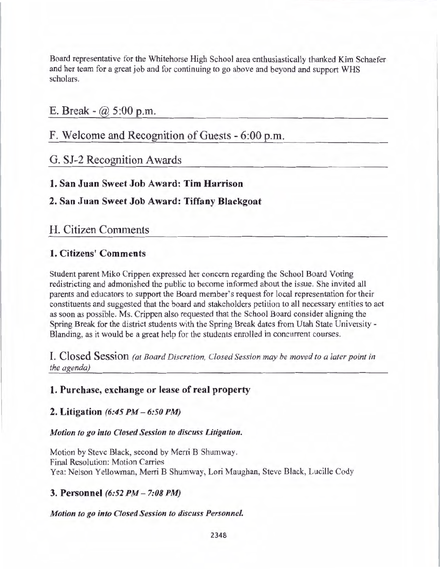Board representative for the Whitehorse High School area enthusiastically thanked Kim Schaefer and her team for a great job and for continuing to go above and beyond and support WHS scholars.

### E. Break -  $@.5:00$  p.m.

# F. Welcome and Recognition of Guests - 6:00 p.m.

# G. SJ-2 Recognition Awards

### **1. San Juan Sweet Job Award: Tim Harrison**

## **2. San Juan Sweet Job Award: Tiffany Blackgoat**

### H. Citizen Comments

### **1. Citizens' Comments**

Student parent Miko Crippen expressed her concern regarding the School Board Voting redistricting and admonished the public to become informed about the issue. She invited all parents and educators to support the Board member's request for local representation for their constituents and suggested that the board and stakeholders petition to all necessary entities to act as soon as possible. Ms. Crippen also requested that the School Board consider aligning the Spring Break for the district students with the Spring Break dates from Utah State University - Blanding, as it would be a great help for the students enrolled in concurrent courses.

I. Closed Session *(at Board Discretion, Closed Session may be moved to a later point in the agenda)* 

### **1. Purchase, exchange or lease of real property**

#### **2. Litigation** *(6:45 PM* - *6:50 PM)*

#### *Motion to go into Closed Session to discuss Litigation.*

Motion by Steve Black, second by Merri B Shumway. Final Resolution: Motion Carries Yea: Nelson Yellowman, Merri B Shumway, Lori Maughan, Steve Black, Lucille Cody

#### **3. Personnel** *(6:52 PM- 7:08 PM)*

#### *Motion to go into Closed Session to discuss Personnel.*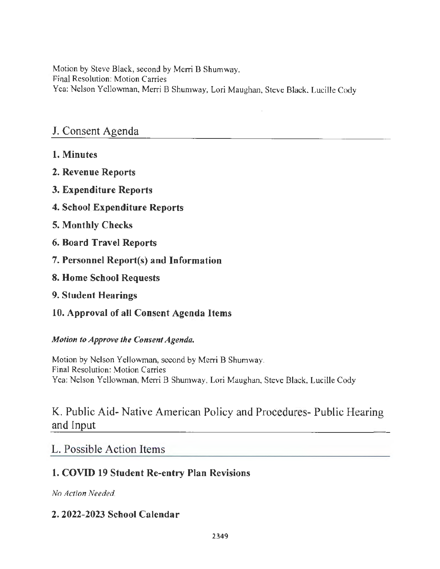Motion by Steve Black, second by Merri B Shumway. Final Resolution: Motion Carries Yea: Nelson Yellowman, Merri B Shumway, Lori Maughan, Steve Black, Lucille Cody

# J. Consent Agenda

- **1. Minutes**
- **2. Revenue Reports**
- **3. Expenditure Reports**
- **4. School Expenditure Reports**
- **5. Monthly Checks**
- **6. Board Travel Reports**
- 7. **Personnel Report(s) and Information**
- **8. Home School Requests**
- **9. Student Hearings**
- **10. Approval of all Consent Agenda Items**

### *Motion to Approve the Consent Agenda.*

Motion by Nelson Yellowman, second by Merri B Shumway. Final Resolution: Motion Carries Yea: Nelson Yellowman, Merri B Shumway, Lori Maughan, Steve Black, Lucille Cody

# K. Public Aid- Native American Policy and Procedures- Public Hearing and Input

# L. Possible Action Items

# **1. COVID 19 Student Re-entry Plan Revisions**

*No Action Needed.* 

# **2. 2022-2023 School Calendar**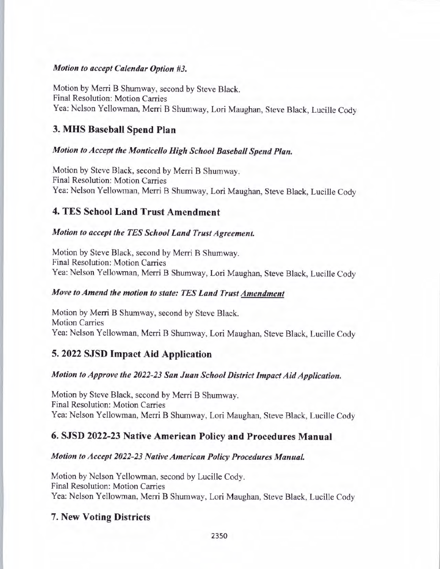#### *Motion to accept Calendar Option #3.*

Motion by Merri B Shumway, second by Steve Black. Final Resolution: Motion Carries Yea: Nelson Yellowman, Merri B Shumway, Lori Maughan, Steve Black, Lucille Cody

### **3. MHS Baseball Spend Plan**

### *Motion to Accept the Monticello High School Baseball Spend Plan.*

Motion by Steve Black, second by Merri B Shumway. Final Resolution: Motion Carries Yea: Nelson Yellowman, Merri B Shumway, Lori Maughan, Steve Black, Lucille Cody

### **4. TES School Land Trust Amendment**

#### *Motion to accept the TES School Land Trust Agreement.*

Motion by Steve Black, second by Merri B Shumway. Final Resolution: Motion Carries Yea: Nelson Yellowman, Merri B Shumway, Lori Maughan, Steve Black, Lucille Cody

#### *Move to Amend the motion to state: TES Land Trust Amendment*

Motion by Merri B Shumway, second by Steve Black. Motion Carries Yea: Nelson Yellowman, Merri B Shumway, Lori Maughan, Steve Black, Lucille Cody

### **5. 2022 SJSD Impact Aid Application**

### *Motion to Approve the 2022-23 San Juan School District Impact Aid Application.*

Motion by Steve Black, second by Merri B Shumway. Final Resolution: Motion Carries Yea: Nelson Yellowman, Merri B Shumway, Lori Maughan, Steve Black, Lucille Cody

### **6. SJSD 2022-23 Native American Policy and Procedures Manual**

#### *Motion to Accept 2022-23 Native American Policy Procedures Manual.*

Motion by Nelson Yellowrnan, second by Lucille Cody. Final Resolution: Motion Carries Yea: Nelson Yellowman, Merri B Shumway, Lori Maughan, Steve Black, Lucille Cody

### 7. **New Voting Districts**